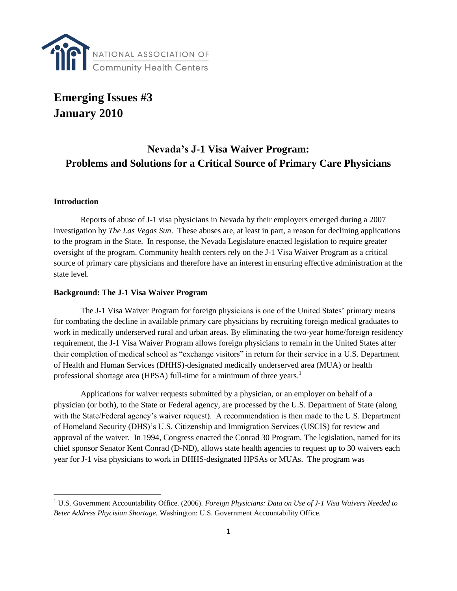

# **Emerging Issues #3 January 2010**

# **Nevada's J-1 Visa Waiver Program: Problems and Solutions for a Critical Source of Primary Care Physicians**

#### **Introduction**

l

Reports of abuse of J-1 visa physicians in Nevada by their employers emerged during a 2007 investigation by *The Las Vegas Sun*. These abuses are, at least in part, a reason for declining applications to the program in the State. In response, the Nevada Legislature enacted legislation to require greater oversight of the program. Community health centers rely on the J-1 Visa Waiver Program as a critical source of primary care physicians and therefore have an interest in ensuring effective administration at the state level.

#### **Background: The J-1 Visa Waiver Program**

The J-1 Visa Waiver Program for foreign physicians is one of the United States' primary means for combating the decline in available primary care physicians by recruiting foreign medical graduates to work in medically underserved rural and urban areas. By eliminating the two-year home/foreign residency requirement, the J-1 Visa Waiver Program allows foreign physicians to remain in the United States after their completion of medical school as "exchange visitors" in return for their service in a U.S. Department of Health and Human Services (DHHS)-designated medically underserved area (MUA) or health professional shortage area (HPSA) full-time for a minimum of three years.<sup>1</sup>

Applications for waiver requests submitted by a physician, or an employer on behalf of a physician (or both), to the State or Federal agency, are processed by the U.S. Department of State (along with the State/Federal agency's waiver request). A recommendation is then made to the U.S. Department of Homeland Security (DHS)'s U.S. Citizenship and Immigration Services (USCIS) for review and approval of the waiver. In 1994, Congress enacted the Conrad 30 Program. The legislation, named for its chief sponsor Senator Kent Conrad (D-ND), allows state health agencies to request up to 30 waivers each year for J-1 visa physicians to work in DHHS-designated HPSAs or MUAs. The program was

<sup>1</sup> U.S. Government Accountability Office. (2006). *Foreign Physicians: Data on Use of J-1 Visa Waivers Needed to Beter Address Phycisian Shortage.* Washington: U.S. Government Accountability Office.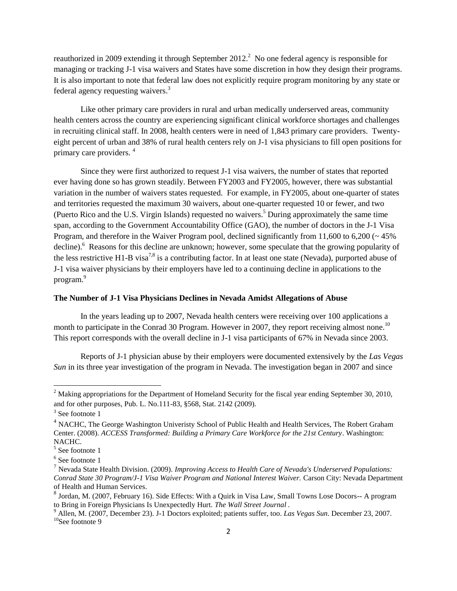reauthorized in 2009 extending it through September 2012.<sup>2</sup> No one federal agency is responsible for managing or tracking J-1 visa waivers and States have some discretion in how they design their programs. It is also important to note that federal law does not explicitly require program monitoring by any state or federal agency requesting waivers.<sup>3</sup>

Like other primary care providers in rural and urban medically underserved areas, community health centers across the country are experiencing significant clinical workforce shortages and challenges in recruiting clinical staff. In 2008, health centers were in need of 1,843 primary care providers. Twentyeight percent of urban and 38% of rural health centers rely on J-1 visa physicians to fill open positions for primary care providers. <sup>4</sup>

Since they were first authorized to request J-1 visa waivers, the number of states that reported ever having done so has grown steadily. Between FY2003 and FY2005, however, there was substantial variation in the number of waivers states requested. For example, in FY2005, about one-quarter of states and territories requested the maximum 30 waivers, about one-quarter requested 10 or fewer, and two (Puerto Rico and the U.S. Virgin Islands) requested no waivers. <sup>5</sup> During approximately the same time span, according to the Government Accountability Office (GAO), the number of doctors in the J-1 Visa Program, and therefore in the Waiver Program pool, declined significantly from 11,600 to 6,200 ( $\sim$  45%) decline).<sup>6</sup> Reasons for this decline are unknown; however, some speculate that the growing popularity of the less restrictive H1-B visa<sup>7,8</sup> is a contributing factor. In at least one state (Nevada), purported abuse of J-1 visa waiver physicians by their employers have led to a continuing decline in applications to the program.<sup>9</sup>

#### **The Number of J-1 Visa Physicians Declines in Nevada Amidst Allegations of Abuse**

In the years leading up to 2007, Nevada health centers were receiving over 100 applications a month to participate in the Conrad 30 Program. However in 2007, they report receiving almost none.<sup>10</sup> This report corresponds with the overall decline in J-1 visa participants of 67% in Nevada since 2003.

Reports of J-1 physician abuse by their employers were documented extensively by the *Las Vegas Sun* in its three year investigation of the program in Nevada. The investigation began in 2007 and since

 $\overline{\phantom{a}}$ 

<sup>&</sup>lt;sup>2</sup> Making appropriations for the Department of Homeland Security for the fiscal year ending September 30, 2010, and for other purposes, Pub. L. No.111-83, §568, Stat. 2142 (2009).

<sup>&</sup>lt;sup>3</sup> See footnote 1

<sup>&</sup>lt;sup>4</sup> NACHC, The George Washington Univeristy School of Public Health and Health Services, The Robert Graham Center. (2008). *ACCESS Transformed: Building a Primary Care Workforce for the 21st Century*. Washington: NACHC.

<sup>5</sup> See footnote 1

<sup>&</sup>lt;sup>6</sup> See footnote 1

<sup>7</sup> Nevada State Health Division. (2009). *Improving Access to Health Care of Nevada's Underserved Populations: Conrad State 30 Program/J-1 Visa Waiver Program and National Interest Waiver.* Carson City: Nevada Department of Health and Human Services.

 $^8$  Jordan, M. (2007, February 16). Side Effects: With a Quirk in Visa Law, Small Towns Lose Docors-- A program to Bring in Foreign Physicians Is Unexpectedly Hurt. *The Wall Street Journal .*

<sup>9</sup> Allen, M. (2007, December 23). J-1 Doctors exploited; patients suffer, too. *Las Vegas Sun*. December 23, 2007.  $10$ See footnote 9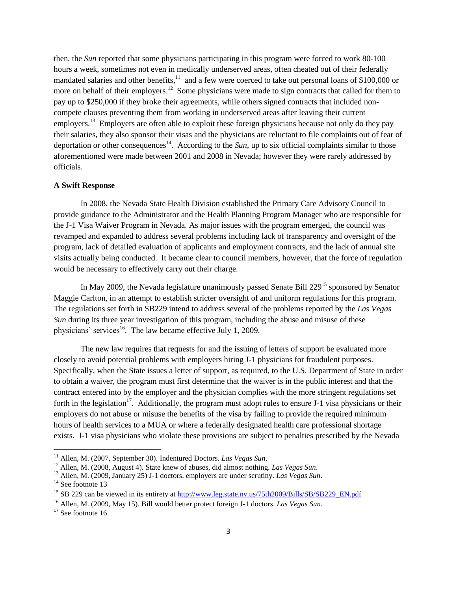then, the *Sun* reported that some physicians participating in this program were forced to work 80-100 hours a week, sometimes not even in medically underserved areas, often cheated out of their federally mandated salaries and other benefits,<sup>11</sup> and a few were coerced to take out personal loans of \$100,000 or more on behalf of their employers.<sup>12</sup> Some physicians were made to sign contracts that called for them to pay up to \$250,000 if they broke their agreements, while others signed contracts that included noncompete clauses preventing them from working in underserved areas after leaving their current employers.<sup>13</sup> Employers are often able to exploit these foreign physicians because not only do they pay their salaries, they also sponsor their visas and the physicians are reluctant to file complaints out of fear of deportation or other consequences<sup>14</sup>. According to the *Sun*, up to six official complaints similar to those aforementioned were made between 2001 and 2008 in Nevada; however they were rarely addressed by officials.

#### **A Swift Response**

In 2008, the Nevada State Health Division established the Primary Care Advisory Council to provide guidance to the Administrator and the Health Planning Program Manager who are responsible for the J-1 Visa Waiver Program in Nevada. As major issues with the program emerged, the council was revamped and expanded to address several problems including lack of transparency and oversight of the program, lack of detailed evaluation of applicants and employment contracts, and the lack of annual site visits actually being conducted. It became clear to council members, however, that the force of regulation would be necessary to effectively carry out their charge.

In May 2009, the Nevada legislature unanimously passed Senate Bill  $229^{15}$  sponsored by Senator Maggie Carlton, in an attempt to establish stricter oversight of and uniform regulations for this program. The regulations set forth in SB229 intend to address several of the problems reported by the *Las Vegas Sun* during its three year investigation of this program, including the abuse and misuse of these physicians' services<sup>16</sup>. The law became effective July 1, 2009.

The new law requires that requests for and the issuing of letters of support be evaluated more closely to avoid potential problems with employers hiring J-1 physicians for fraudulent purposes. Specifically, when the State issues a letter of support, as required, to the U.S. Department of State in order to obtain a waiver, the program must first determine that the waiver is in the public interest and that the contract entered into by the employer and the physician complies with the more stringent regulations set forth in the legislation<sup>17</sup>. Additionally, the program must adopt rules to ensure J-1 visa physicians or their employers do not abuse or misuse the benefits of the visa by failing to provide the required minimum hours of health services to a MUA or where a federally designated health care professional shortage exists. J-1 visa physicians who violate these provisions are subject to penalties prescribed by the Nevada

l

<sup>11</sup> Allen, M. (2007, September 30). Indentured Doctors. *Las Vegas Sun*.

<sup>12</sup> Allen, M. (2008, August 4). State knew of abuses, did almost nothing. *Las Vegas Sun*.

<sup>13</sup> Allen, M. (2009, January 25) J-1 doctors, employers are under scrutiny. *Las Vegas Sun*.

<sup>&</sup>lt;sup>14</sup> See footnote 13

<sup>&</sup>lt;sup>15</sup> SB 229 can be viewed in its entirety at [http://www.leg.state.nv.us/75th2009/Bills/SB/SB229\\_EN.pdf](http://www.leg.state.nv.us/75th2009/Bills/SB/SB229_EN.pdf)

<sup>16</sup> Allen, M. (2009, May 15). Bill would better protect foreign J-1 doctors. *Las Vegas Sun*.

<sup>&</sup>lt;sup>17</sup> See footnote 16